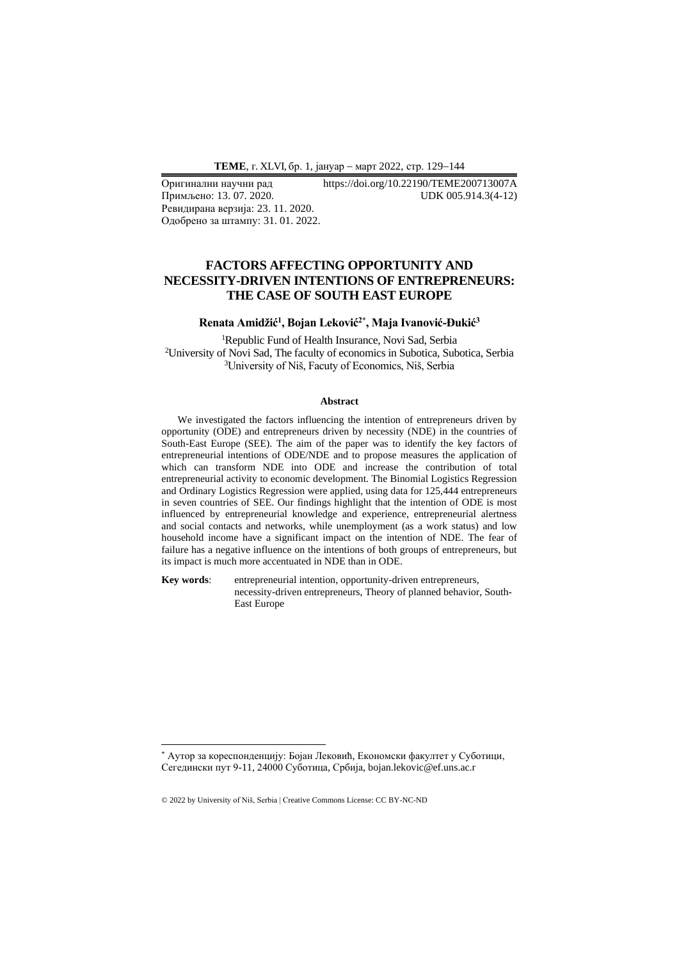Примљено: 13.07.2020. Ревидирана верзија: 23. 11. 2020. Одобрено за штампу: 31. 01. 2022.

Оригинални научни рад https://doi.org/10.22190/TEME200713007A<br>Примљено: 13. 07. 2020. UDK 005.914.3(4-12)

# **FACTORS AFFECTING OPPORTUNITY AND NECESSITY-DRIVEN INTENTIONS OF ENTREPRENEURS: THE CASE OF SOUTH EAST EUROPE**

## **Renata Amidžić<sup>1</sup> , Bojan Leković2\* , Maja Ivanović-Đukić<sup>3</sup>**

<sup>1</sup>Republic Fund of Health Insurance, Novi Sad, Serbia <sup>2</sup>University of Novi Sad, The faculty of economics in Subotica, Subotica, Serbia <sup>3</sup>University of Niš, Facuty of Economics, Niš, Serbia

#### **Abstract**

We investigated the factors influencing the intention of entrepreneurs driven by opportunity (ODE) and entrepreneurs driven by necessity (NDE) in the countries of South-East Europe (SEE). The aim of the paper was to identify the key factors of entrepreneurial intentions of ODE/NDE and to propose measures the application of which can transform NDE into ODE and increase the contribution of total entrepreneurial activity to economic development. The Binomial Logistics Regression and Ordinary Logistics Regression were applied, using data for 125,444 entrepreneurs in seven countries of SEE. Our findings highlight that the intention of ODE is most influenced by entrepreneurial knowledge and experience, entrepreneurial alertness and social contacts and networks, while unemployment (as a work status) and low household income have a significant impact on the intention of NDE. The fear of failure has a negative influence on the intentions of both groups of entrepreneurs, but its impact is much more accentuated in NDE than in ODE.

**Key words**: entrepreneurial intention, opportunity-driven entrepreneurs, necessity-driven entrepreneurs, Theory of planned behavior, South-East Europe

<sup>\*</sup> Аутор за кореспонденцију: Бојан Лековић, Економски факултет у Суботици, Сегедински пут 9-11, 24000 Суботица, Србија, bojan.lekovic@ef.uns.ac.r

<sup>© 2022</sup> by University of Niš, Serbia | Creative Commons License: CC BY-NC-ND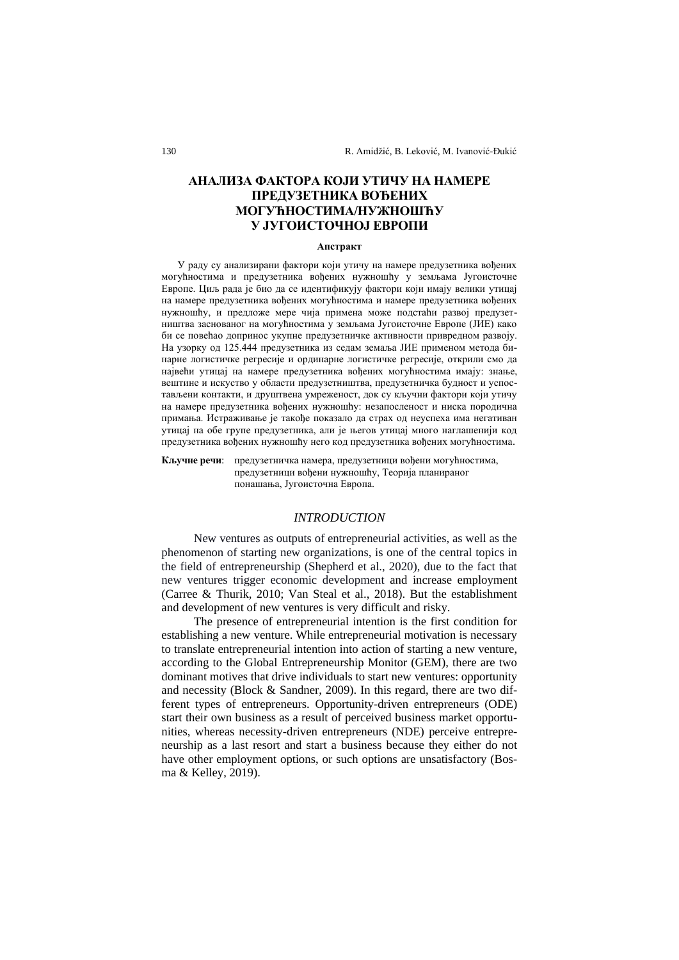# **АНАЛИЗА ФАКТОРА КОЈИ УТИЧУ НА НАМЕРЕ ПРЕДУЗЕТНИКА ВОЂЕНИХ МОГУЋНОСТИМА/НУЖНОШЋУ У ЈУГОИСТОЧНОЈ ЕВРОПИ**

#### **Апстракт**

У раду су анализирани фактори који утичу на намере предузетника вођених могућностима и предузетника вођених нужношћу у земљама Југоисточне Европе. Циљ рада је био да се идентификују фактори који имају велики утицај на намере предузетника вођених могућностима и намере предузетника вођених нужношћу, и предложе мере чија примена може подстаћи развој предузетништва заснованог на могућностима у земљама Југоисточне Европе (ЈИЕ) како би се повећао допринос укупне предузетничке активности привредном развоју. На узорку од 125.444 предузетника из седам земаља ЈИЕ применом метода бинарне логистичке регресије и ординарне логистичке регресије, открили смо да највећи утицај на намере предузетника вођених могућностима имају: знање, вештине и искуство у области предузетништва, предузетничка будност и успостављени контакти, и друштвена умреженост, док су кључни фактори који утичу на намере предузетника вођених нужношћу: незапосленост и ниска породична примања. Истраживање је такође показало да страх од неуспеха има негативан утицај на обе групе предузетника, али је његов утицај много наглашенији код предузетника вођених нужношћу него код предузетника вођених могућностима.

**Кључне речи**: предузетничка намера, предузетници вођени могућностима, предузетници вођени нужношћу, Теорија планираног понашања, Југоисточна Европа.

### *INTRODUCTION*

New ventures as outputs of entrepreneurial activities, as well as the phenomenon of starting new organizations, is one of the central topics in the field of entrepreneurship (Shepherd et al., 2020), due to the fact that new ventures trigger economic development and increase employment (Carree & Thurik, 2010; Van Steal et al., 2018). But the establishment and development of new ventures is very difficult and risky.

The presence of entrepreneurial intention is the first condition for establishing a new venture. While entrepreneurial motivation is necessary to translate entrepreneurial intention into action of starting a new venture, according to the Global Entrepreneurship Monitor (GEM), there are two dominant motives that drive individuals to start new ventures: opportunity and necessity (Block & Sandner, 2009). In this regard, there are two different types of entrepreneurs. Opportunity-driven entrepreneurs (ODE) start their own business as a result of perceived business market opportunities, whereas necessity-driven entrepreneurs (NDE) perceive entrepreneurship as a last resort and start a business because they either do not have other employment options, or such options are unsatisfactory (Bosma & Kelley, 2019).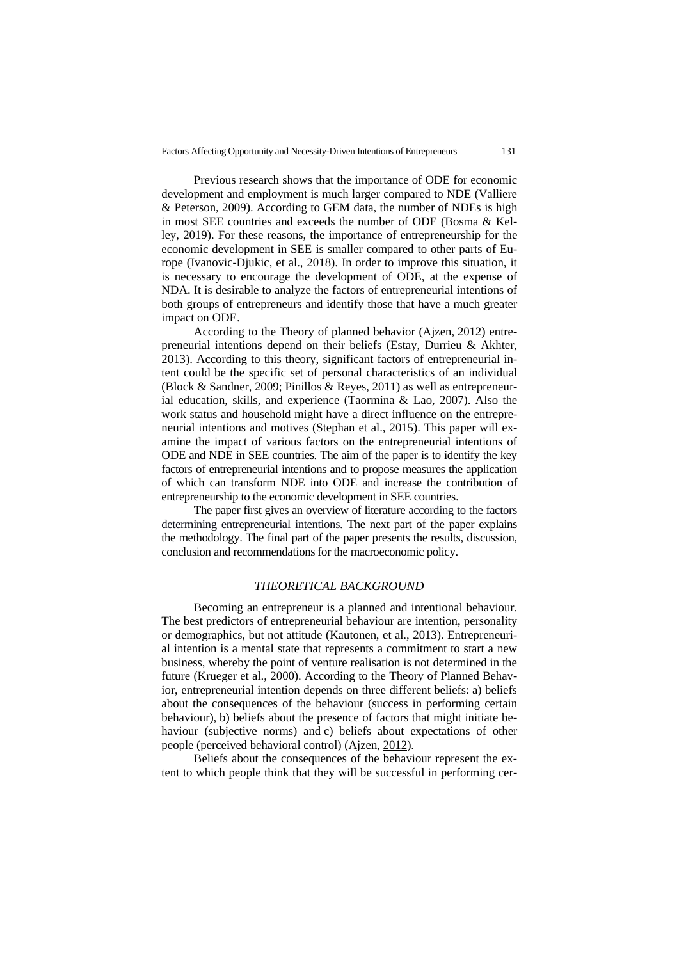Previous research shows that the importance of ODE for economic development and employment is much larger compared to NDE (Valliere & Peterson, 2009). According to GEM data, the number of NDEs is high in most SEE countries and exceeds the number of ODE (Bosma & Kelley, 2019). For these reasons, the importance of entrepreneurship for the economic development in SEE is smaller compared to other parts of Europe (Ivanovic-Djukic, et al., 2018). In order to improve this situation, it is necessary to encourage the development of ODE, at the expense of NDA. It is desirable to analyze the factors of entrepreneurial intentions of both groups of entrepreneurs and identify those that have a much greater impact on ODE.

According to the Theory of planned behavior (Ajzen, [2012\)](https://www.tandfonline.com/doi/full/10.1080/1331677X.2016.1211956) entrepreneurial intentions depend on their beliefs (Estay, Durrieu & Akhter, 2013). According to this theory, significant factors of entrepreneurial intent could be the specific set of personal characteristics of an individual (Block & Sandner, 2009; Pinillos & Reyes, 2011) as well as entrepreneurial education, skills, and experience (Taormina & Lao, 2007). Also the work status and household might have a direct influence on the entrepreneurial intentions and motives (Stephan et al., 2015). This paper will examine the impact of various factors on the entrepreneurial intentions of ODE and NDE in SEE countries. The aim of the paper is to identify the key factors of entrepreneurial intentions and to propose measures the application of which can transform NDE into ODE and increase the contribution of entrepreneurship to the economic development in SEE countries.

The paper first gives an overview of literature according to the factors determining entrepreneurial intentions. The next part of the paper explains the methodology. The final part of the paper presents the results, discussion, conclusion and recommendations for the macroeconomic policy.

### *THEORETICAL BACKGROUND*

Becoming an entrepreneur is a planned and intentional behaviour. The best predictors of entrepreneurial behaviour are intention, personality or demographics, but not attitude (Kautonen, et al., 2013). Entrepreneurial intention is a mental state that represents a commitment to start a new business, whereby the point of venture realisation is not determined in the future (Krueger et al., [2000\)](https://www.tandfonline.com/doi/full/10.1080/1331677X.2016.1211956). According to the Theory of Planned Behavior, entrepreneurial intention depends on three different beliefs: a) beliefs about the consequences of the behaviour (success in performing certain behaviour), b) beliefs about the presence of factors that might initiate behaviour (subjective norms) and c) beliefs about expectations of other people (perceived behavioral control) (Ajzen, [2012\)](https://www.tandfonline.com/doi/full/10.1080/1331677X.2016.1211956).

Beliefs about the consequences of the behaviour represent the extent to which people think that they will be successful in performing cer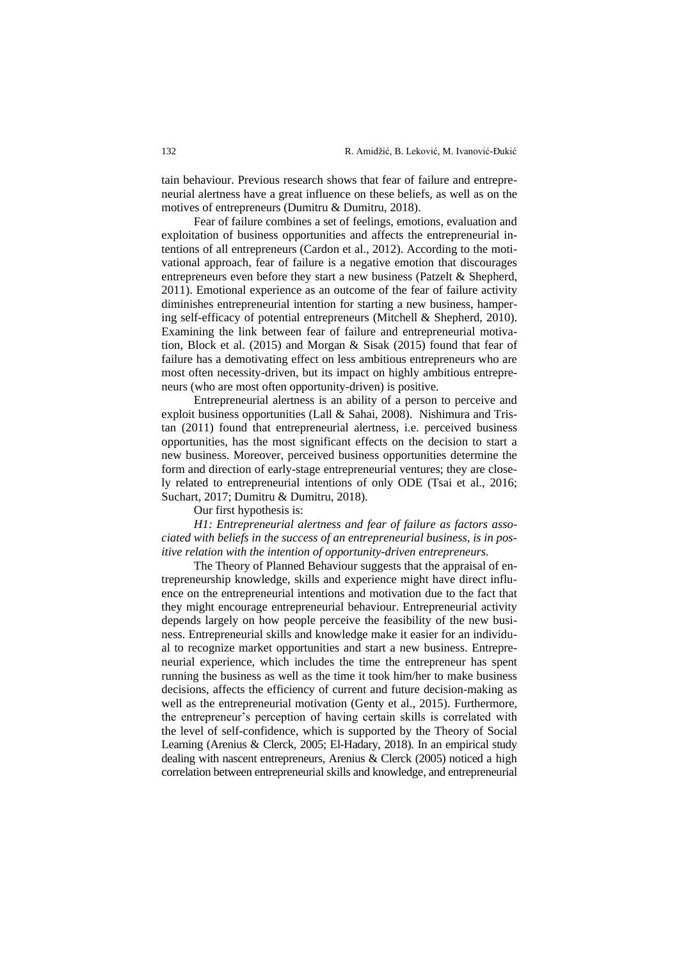tain behaviour. Previous research shows that fear of failure and entrepreneurial alertness have a great influence on these beliefs, as well as on the motives of entrepreneurs (Dumitru & Dumitru, 2018).

Fear of failure combines a set of feelings, emotions, evaluation and exploitation of business opportunities and affects the entrepreneurial intentions of all entrepreneurs (Cardon et al., 2012). According to the motivational approach, fear of failure is a negative emotion that discourages entrepreneurs even before they start a new business (Patzelt & Shepherd, 2011). Emotional experience as an outcome of the fear of failure activity diminishes entrepreneurial intention for starting a new business, hampering self-efficacy of potential entrepreneurs (Mitchell & Shepherd, 2010). Examining the link between fear of failure and entrepreneurial motivation, Block et al. (2015) and Morgan & Sisak (2015) found that fear of failure has a demotivating effect on less ambitious entrepreneurs who are most often necessity-driven, but its impact on highly ambitious entrepreneurs (who are most often opportunity-driven) is positive.

Entrepreneurial alertness is an ability of a person to perceive and exploit business opportunities (Lall & Sahai, 2008). Nishimura and Tristan (2011) found that entrepreneurial alertness, i.e. perceived business opportunities, has the most significant effects on the decision to start a new business. Moreover, perceived business opportunities determine the form and direction of early-stage entrepreneurial ventures; they are closely related to entrepreneurial intentions of only ODE (Tsai et al., 2016; Suchart, 2017; Dumitru & Dumitru, 2018).

Our first hypothesis is:

*H1: Entrepreneurial alertness and fear of failure as factors associated with beliefs in the success of an entrepreneurial business, is in positive relation with the intention of opportunity-driven entrepreneurs.*

The Theory of Planned Behaviour suggests that the appraisal of entrepreneurship knowledge, skills and experience might have direct influence on the entrepreneurial intentions and motivation due to the fact that they might encourage entrepreneurial behaviour. Entrepreneurial activity depends largely on how people perceive the feasibility of the new business. Entrepreneurial skills and knowledge make it easier for an individual to recognize market opportunities and start a new business. Entrepreneurial experience, which includes the time the entrepreneur has spent running the business as well as the time it took him/her to make business decisions, affects the efficiency of current and future decision-making as well as the entrepreneurial motivation (Genty et al., 2015). Furthermore, the entrepreneur's perception of having certain skills is correlated with the level of self-confidence, which is supported by the Theory of Social Learning (Arenius & Clerck, 2005; El-Hadary, 2018). In an empirical study dealing with nascent entrepreneurs, Arenius & Clerck (2005) noticed a high correlation between entrepreneurial skills and knowledge, and entrepreneurial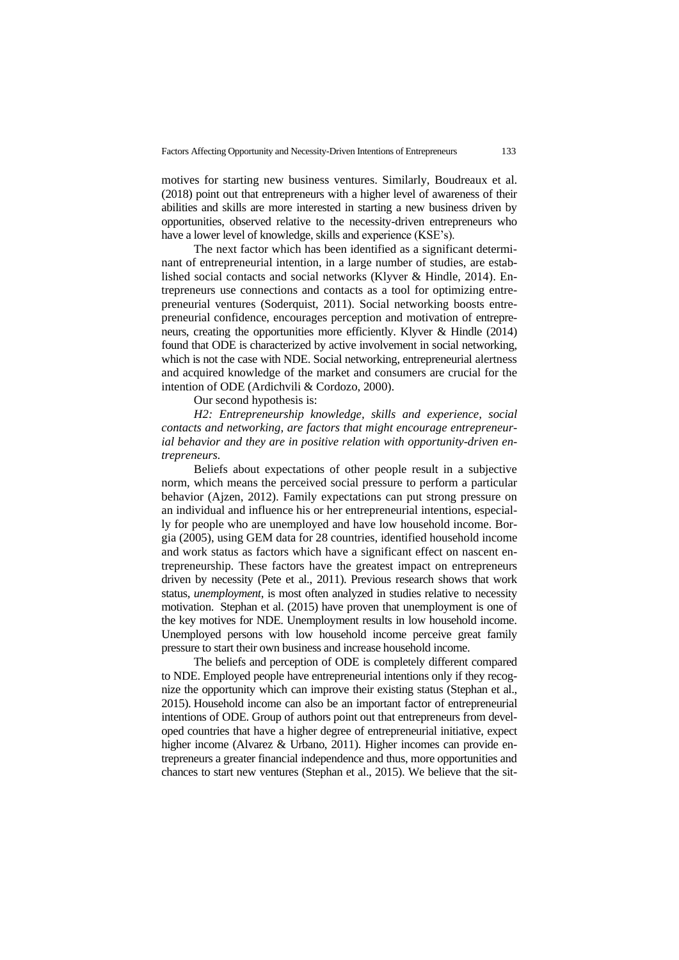motives for starting new business ventures. Similarly, Boudreaux et al. (2018) point out that entrepreneurs with a higher level of awareness of their abilities and skills are more interested in starting a new business driven by opportunities, observed relative to the necessity-driven entrepreneurs who have a lower level of knowledge, skills and experience (KSE's).

The next factor which has been identified as a significant determinant of entrepreneurial intention, in a large number of studies, are established social contacts and social networks (Klyver & Hindle, 2014). Entrepreneurs use connections and contacts as a tool for optimizing entrepreneurial ventures (Soderquist, 2011). Social networking boosts entrepreneurial confidence, encourages perception and motivation of entrepreneurs, creating the opportunities more efficiently. Klyver & Hindle (2014) found that ODE is characterized by active involvement in social networking, which is not the case with NDE. Social networking, entrepreneurial alertness and acquired knowledge of the market and consumers are crucial for the intention of ODE (Ardichvili & Cordozo, 2000).

Our second hypothesis is:

*H2: Entrepreneurship knowledge, skills and experience, social contacts and networking, are factors that might encourage entrepreneurial behavior and they are in positive relation with opportunity-driven entrepreneurs.*

Beliefs about expectations of other people result in a subjective norm, which means the perceived social pressure to perform a particular behavior (Ajzen, 2012). Family expectations can put strong pressure on an individual and influence his or her entrepreneurial intentions, especially for people who are unemployed and have low household income. Borgia (2005), using GEM data for 28 countries, identified household income and work status as factors which have a significant effect on nascent entrepreneurship. These factors have the greatest impact on entrepreneurs driven by necessity (Pete et al., 2011). Previous research shows that work status, *unemployment*, is most often analyzed in studies relative to necessity motivation. Stephan et al. (2015) have proven that unemployment is one of the key motives for NDE. Unemployment results in low household income. Unemployed persons with low household income perceive great family pressure to start their own business and increase household income.

The beliefs and perception of ODE is completely different compared to NDE. Employed people have entrepreneurial intentions only if they recognize the opportunity which can improve their existing status (Stephan et al., 2015). Household income can also be an important factor of entrepreneurial intentions of ODE. Group of authors point out that entrepreneurs from developed countries that have a higher degree of entrepreneurial initiative, expect higher income (Alvarez & Urbano, 2011). Higher incomes can provide entrepreneurs a greater financial independence and thus, more opportunities and chances to start new ventures (Stephan et al., 2015). We believe that the sit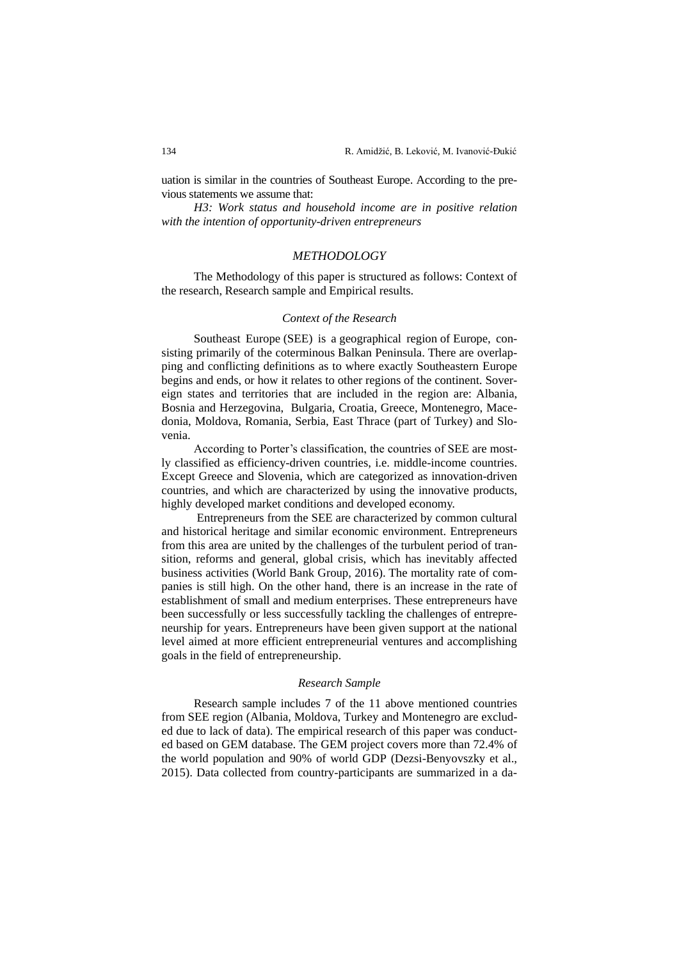uation is similar in the countries of Southeast Europe. According to the previous statements we assume that:

*H3: Work status and household income are in positive relation with the intention of opportunity-driven entrepreneurs*

## *METHODOLOGY*

The Methodology of this paper is structured as follows: Context of the research, Research sample and Empirical results.

### *Context of the Research*

Southeast Europe (SEE) is a geographical region of Europe, consisting primarily of the coterminous Balkan Peninsula. There are overlapping and conflicting definitions as to where exactly Southeastern Europe begins and ends, or how it relates to other regions of the continent. Sovereign states and territories that are included in the region are: Albania, Bosnia and Herzegovina, Bulgaria, Croatia, Greece, Montenegro, Macedonia, Moldova, Romania, Serbia, East Thrace (part of Turkey) and Slovenia.

According to Porter's classification, the countries of SEE are mostly classified as efficiency-driven countries, i.e. middle-income countries. Except Greece and Slovenia, which are categorized as innovation-driven countries, and which are characterized by using the innovative products, highly developed market conditions and developed economy.

Entrepreneurs from the SEE are characterized by common cultural and historical heritage and similar economic environment. Entrepreneurs from this area are united by the challenges of the turbulent period of transition, reforms and general, global crisis, which has inevitably affected business activities (World Bank Group, 2016). The mortality rate of companies is still high. On the other hand, there is an increase in the rate of establishment of small and medium enterprises. These entrepreneurs have been successfully or less successfully tackling the challenges of entrepreneurship for years. Entrepreneurs have been given support at the national level aimed at more efficient entrepreneurial ventures and accomplishing goals in the field of entrepreneurship.

#### *Research Sample*

Research sample includes 7 of the 11 above mentioned countries from SEE region (Albania, Moldova, Turkey and Montenegro are excluded due to lack of data). The empirical research of this paper was conducted based on GEM database. The GEM project covers more than 72.4% of the world population and 90% of world GDP (Dezsi-Benyovszky et al., 2015). Data collected from country-participants are summarized in a da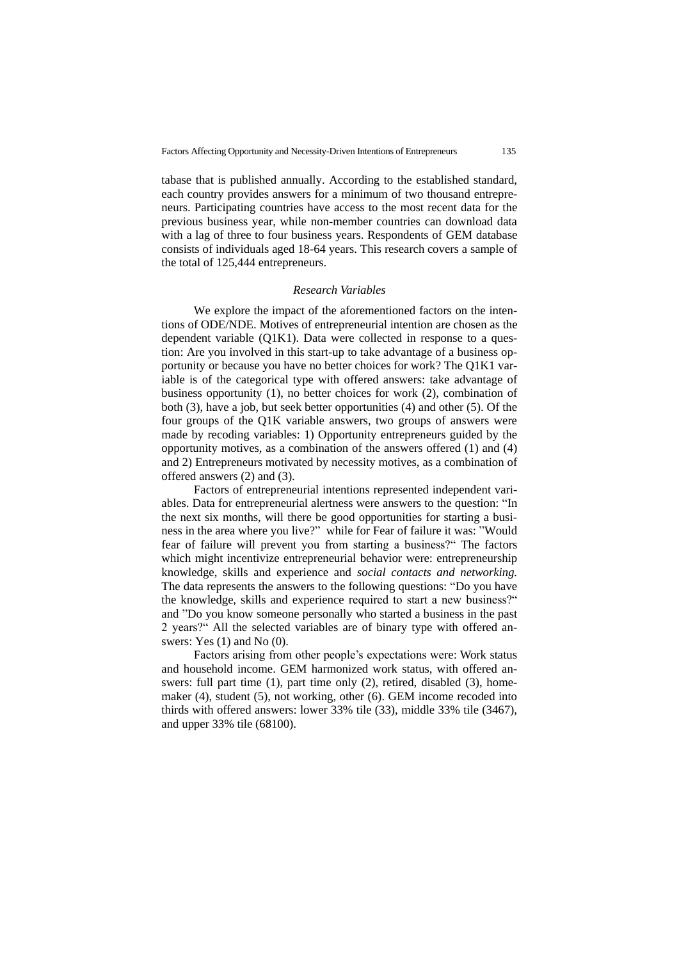tabase that is published annually. According to the established standard, each country provides answers for a minimum of two thousand entrepreneurs. Participating countries have access to the most recent data for the previous business year, while non-member countries can download data with a lag of three to four business years. Respondents of GEM database consists of individuals aged 18-64 years. This research covers a sample of the total of 125,444 entrepreneurs.

#### *Research Variables*

We explore the impact of the aforementioned factors on the intentions of ODE/NDE. Motives of entrepreneurial intention are chosen as the dependent variable (Q1K1). Data were collected in response to a question: Are you involved in this start-up to take advantage of a business opportunity or because you have no better choices for work? The Q1K1 variable is of the categorical type with offered answers: take advantage of business opportunity (1), no better choices for work (2), combination of both (3), have a job, but seek better opportunities (4) and other (5). Of the four groups of the Q1K variable answers, two groups of answers were made by recoding variables: 1) Opportunity entrepreneurs guided by the opportunity motives, as a combination of the answers offered (1) and (4) and 2) Entrepreneurs motivated by necessity motives, as a combination of offered answers (2) and (3).

Factors of entrepreneurial intentions represented independent variables. Data for entrepreneurial alertness were answers to the question: "In the next six months, will there be good opportunities for starting a business in the area where you live?" while for Fear of failure it was: "Would fear of failure will prevent you from starting a business?" The factors which might incentivize entrepreneurial behavior were: entrepreneurship knowledge, skills and experience and *social contacts and networking.*  The data represents the answers to the following questions: "Do you have the knowledge, skills and experience required to start a new business?" and "Do you know someone personally who started a business in the past 2 years?" All the selected variables are of binary type with offered answers: Yes (1) and No (0).

Factors arising from other people's expectations were: Work status and household income. GEM harmonized work status, with offered answers: full part time (1), part time only (2), retired, disabled (3), homemaker (4), student (5), not working, other (6). GEM income recoded into thirds with offered answers: lower 33% tile (33), middle 33% tile (3467), and upper 33% tile (68100).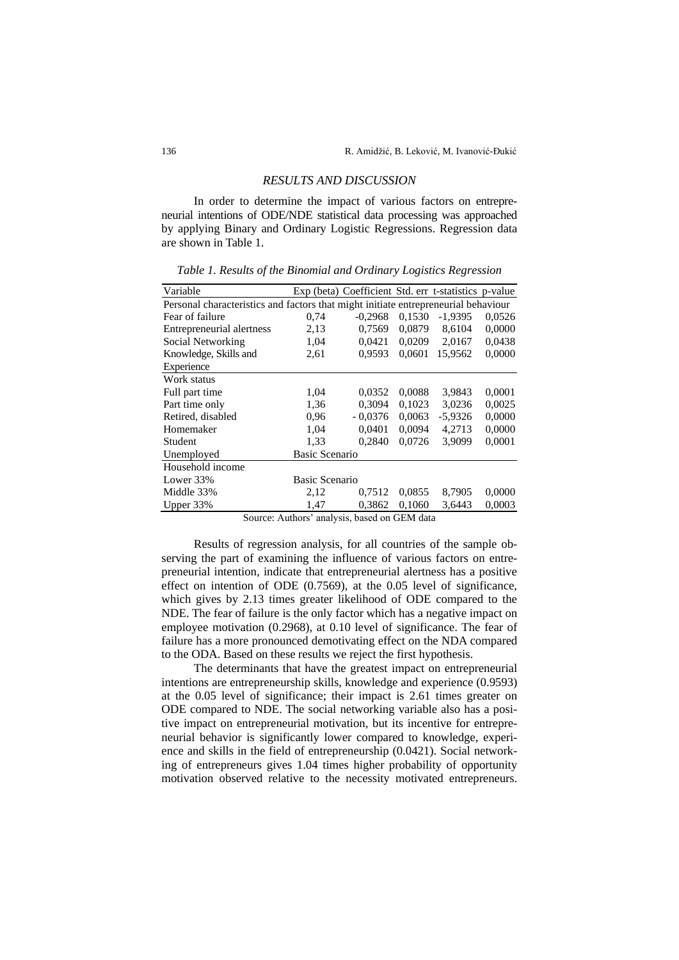### *RESULTS AND DISCUSSION*

In order to determine the impact of various factors on entrepreneurial intentions of ODE/NDE statistical data processing was approached by applying Binary and Ordinary Logistic Regressions. Regression data are shown in Table 1.

| Variable                                                                           |                       | Exp (beta) Coefficient Std. err t-statistics p-value |        |           |        |
|------------------------------------------------------------------------------------|-----------------------|------------------------------------------------------|--------|-----------|--------|
| Personal characteristics and factors that might initiate entrepreneurial behaviour |                       |                                                      |        |           |        |
| Fear of failure                                                                    | 0,74                  | $-0,2968$                                            | 0.1530 | $-1,9395$ | 0,0526 |
| Entrepreneurial alertness                                                          | 2,13                  | 0,7569                                               | 0.0879 | 8,6104    | 0,0000 |
| Social Networking                                                                  | 1,04                  | 0.0421                                               | 0.0209 | 2,0167    | 0,0438 |
| Knowledge, Skills and                                                              | 2,61                  | 0,9593                                               | 0,0601 | 15,9562   | 0,0000 |
| Experience                                                                         |                       |                                                      |        |           |        |
| Work status                                                                        |                       |                                                      |        |           |        |
| Full part time                                                                     | 1,04                  | 0,0352                                               | 0,0088 | 3,9843    | 0,0001 |
| Part time only                                                                     | 1,36                  | 0,3094                                               | 0,1023 | 3,0236    | 0,0025 |
| Retired, disabled                                                                  | 0,96                  | $-0,0376$                                            | 0.0063 | $-5,9326$ | 0,0000 |
| Homemaker                                                                          | 1,04                  | 0,0401                                               | 0,0094 | 4,2713    | 0,0000 |
| Student                                                                            | 1,33                  | 0,2840                                               | 0.0726 | 3,9099    | 0,0001 |
| Unemployed                                                                         | <b>Basic Scenario</b> |                                                      |        |           |        |
| Household income                                                                   |                       |                                                      |        |           |        |
| Lower 33%                                                                          | Basic Scenario        |                                                      |        |           |        |
| Middle 33%                                                                         | 2,12                  | 0,7512                                               | 0,0855 | 8,7905    | 0,0000 |
| Upper 33%                                                                          | 1,47                  | 0,3862                                               | 0,1060 | 3,6443    | 0,0003 |

*Table 1. Results of the Binomial and Ordinary Logistics Regression* 

Source: Authors' analysis, based on GEM data

Results of regression analysis, for all countries of the sample observing the part of examining the influence of various factors on entrepreneurial intention, indicate that entrepreneurial alertness has a positive effect on intention of ODE (0.7569), at the 0.05 level of significance, which gives by 2.13 times greater likelihood of ODE compared to the NDE. The fear of failure is the only factor which has a negative impact on employee motivation (0.2968), at 0.10 level of significance. The fear of failure has a more pronounced demotivating effect on the NDA compared to the ODA. Based on these results we reject the first hypothesis.

The determinants that have the greatest impact on entrepreneurial intentions are entrepreneurship skills, knowledge and experience (0.9593) at the 0.05 level of significance; their impact is 2.61 times greater on ODE compared to NDE. The social networking variable also has a positive impact on entrepreneurial motivation, but its incentive for entrepreneurial behavior is significantly lower compared to knowledge, experience and skills in the field of entrepreneurship (0.0421). Social networking of entrepreneurs gives 1.04 times higher probability of opportunity motivation observed relative to the necessity motivated entrepreneurs.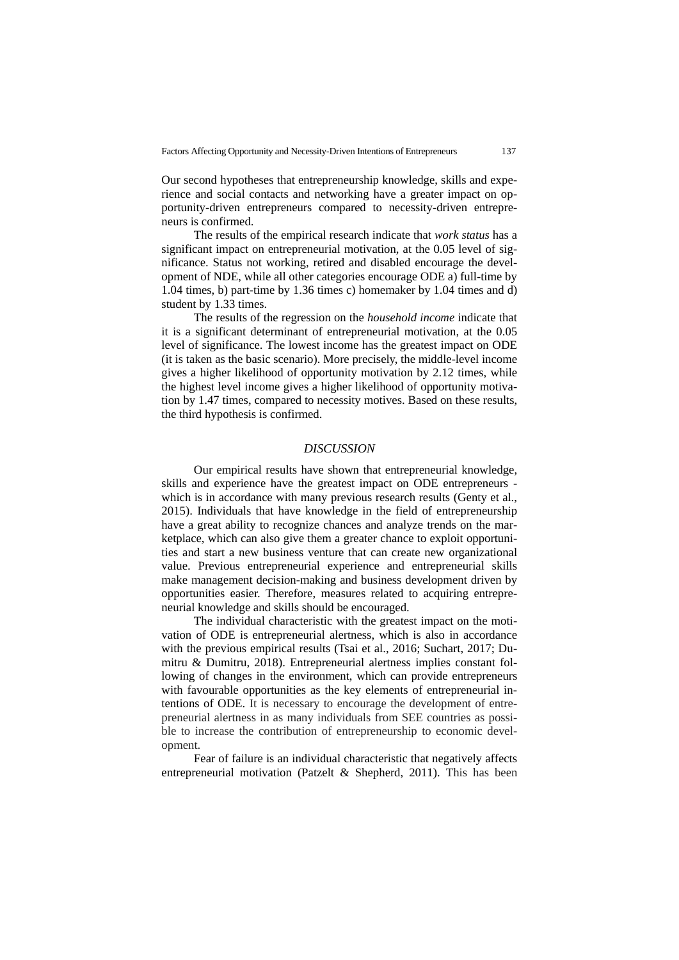Our second hypotheses that entrepreneurship knowledge, skills and experience and social contacts and networking have a greater impact on opportunity-driven entrepreneurs compared to necessity-driven entrepreneurs is confirmed.

The results of the empirical research indicate that *work status* has a significant impact on entrepreneurial motivation, at the 0.05 level of significance. Status not working, retired and disabled encourage the development of NDE, while all other categories encourage ODE a) full-time by 1.04 times, b) part-time by 1.36 times c) homemaker by 1.04 times and d) student by 1.33 times.

The results of the regression on the *household income* indicate that it is a significant determinant of entrepreneurial motivation, at the 0.05 level of significance. The lowest income has the greatest impact on ODE (it is taken as the basic scenario). More precisely, the middle-level income gives a higher likelihood of opportunity motivation by 2.12 times, while the highest level income gives a higher likelihood of opportunity motivation by 1.47 times, compared to necessity motives. Based on these results, the third hypothesis is confirmed.

#### *DISCUSSION*

Our empirical results have shown that entrepreneurial knowledge, skills and experience have the greatest impact on ODE entrepreneurs which is in accordance with many previous research results (Genty et al., 2015). Individuals that have knowledge in the field of entrepreneurship have a great ability to recognize chances and analyze trends on the marketplace, which can also give them a greater chance to exploit opportunities and start a new business venture that can create new organizational value. Previous entrepreneurial experience and entrepreneurial skills make management decision-making and business development driven by opportunities easier. Therefore, measures related to acquiring entrepreneurial knowledge and skills should be encouraged.

The individual characteristic with the greatest impact on the motivation of ODE is entrepreneurial alertness, which is also in accordance with the previous empirical results (Tsai et al., 2016; Suchart, 2017; Dumitru & Dumitru, 2018). Entrepreneurial alertness implies constant following of changes in the environment, which can provide entrepreneurs with favourable opportunities as the key elements of entrepreneurial intentions of ODE. It is necessary to encourage the development of entrepreneurial alertness in as many individuals from SEE countries as possible to increase the contribution of entrepreneurship to economic development.

Fear of failure is an individual characteristic that negatively affects entrepreneurial motivation (Patzelt & Shepherd, 2011). This has been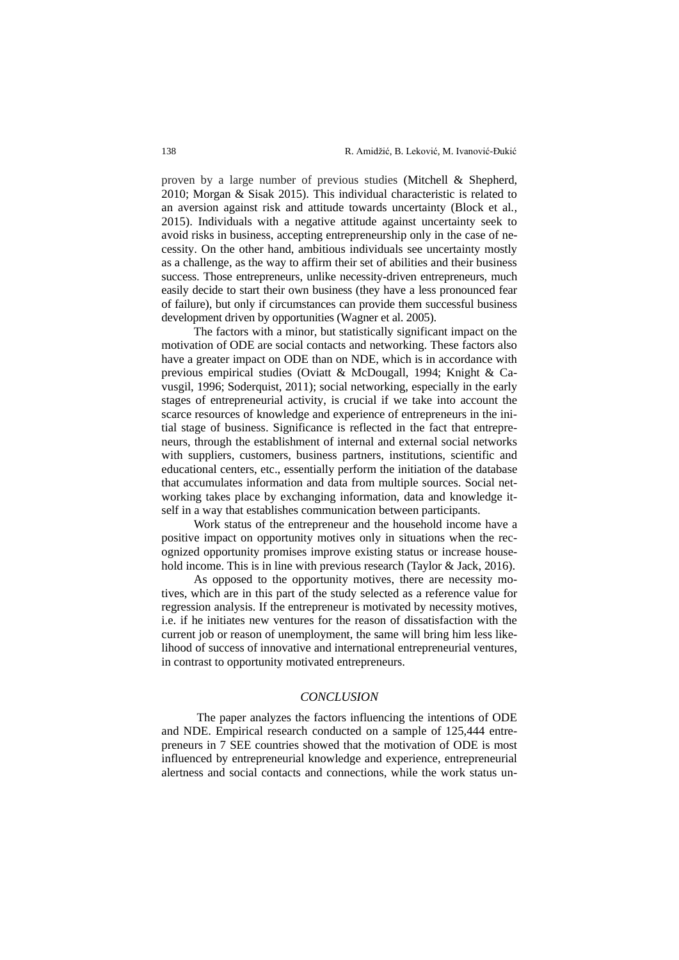proven by a large number of previous studies (Mitchell & Shepherd, 2010; Morgan & Sisak 2015). This individual characteristic is related to an aversion against risk and attitude towards uncertainty (Block et al., 2015). Individuals with a negative attitude against uncertainty seek to avoid risks in business, accepting entrepreneurship only in the case of necessity. On the other hand, ambitious individuals see uncertainty mostly as a challenge, as the way to affirm their set of abilities and their business success. Those entrepreneurs, unlike necessity-driven entrepreneurs, much easily decide to start their own business (they have a less pronounced fear of failure), but only if circumstances can provide them successful business development driven by opportunities (Wagner et al. 2005).

The factors with a minor, but statistically significant impact on the motivation of ODE are social contacts and networking. These factors also have a greater impact on ODE than on NDE, which is in accordance with previous empirical studies (Oviatt & McDougall, 1994; Knight & Cavusgil, 1996; Soderquist, 2011); social networking, especially in the early stages of entrepreneurial activity, is crucial if we take into account the scarce resources of knowledge and experience of entrepreneurs in the initial stage of business. Significance is reflected in the fact that entrepreneurs, through the establishment of internal and external social networks with suppliers, customers, business partners, institutions, scientific and educational centers, etc., essentially perform the initiation of the database that accumulates information and data from multiple sources. Social networking takes place by exchanging information, data and knowledge itself in a way that establishes communication between participants.

Work status of the entrepreneur and the household income have a positive impact on opportunity motives only in situations when the recognized opportunity promises improve existing status or increase household income. This is in line with previous research (Taylor & Jack, 2016).

As opposed to the opportunity motives, there are necessity motives, which are in this part of the study selected as a reference value for regression analysis. If the entrepreneur is motivated by necessity motives, i.e. if he initiates new ventures for the reason of dissatisfaction with the current job or reason of unemployment, the same will bring him less likelihood of success of innovative and international entrepreneurial ventures, in contrast to opportunity motivated entrepreneurs.

## *CONCLUSION*

The paper analyzes the factors influencing the intentions of ODE and NDE. Empirical research conducted on a sample of 125,444 entrepreneurs in 7 SEE countries showed that the motivation of ODE is most influenced by entrepreneurial knowledge and experience, entrepreneurial alertness and social contacts and connections, while the work status un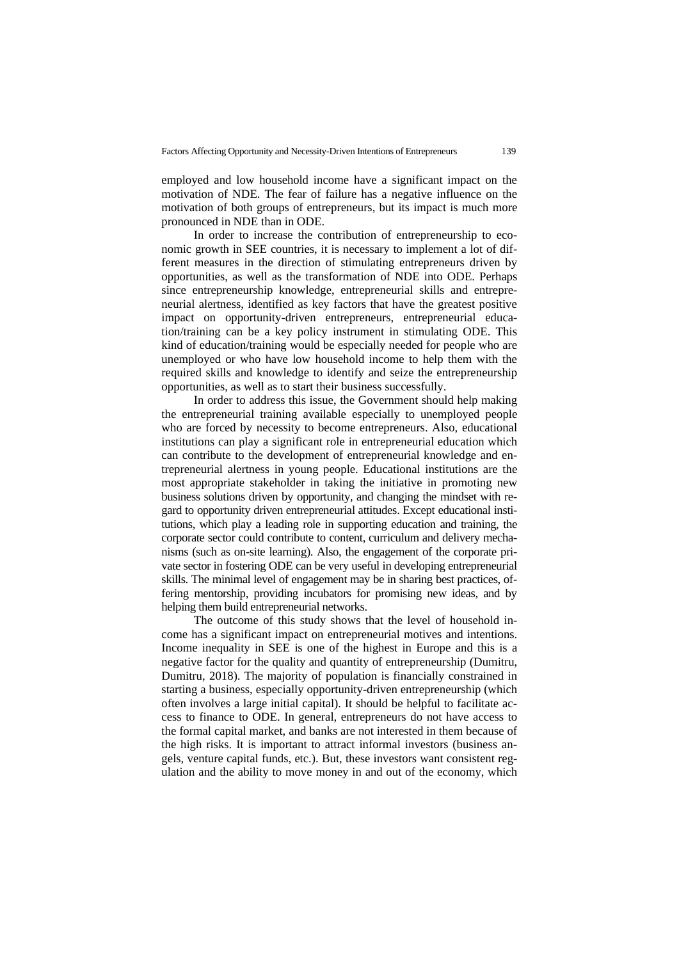employed and low household income have a significant impact on the motivation of NDE. The fear of failure has a negative influence on the motivation of both groups of entrepreneurs, but its impact is much more pronounced in NDE than in ODE.

In order to increase the contribution of entrepreneurship to economic growth in SEE countries, it is necessary to implement a lot of different measures in the direction of stimulating entrepreneurs driven by opportunities, as well as the transformation of NDE into ODE. Perhaps since entrepreneurship knowledge, entrepreneurial skills and entrepreneurial alertness, identified as key factors that have the greatest positive impact on opportunity-driven entrepreneurs, entrepreneurial education/training can be a key policy instrument in stimulating ODE. This kind of education/training would be especially needed for people who are unemployed or who have low household income to help them with the required skills and knowledge to identify and seize the entrepreneurship opportunities, as well as to start their business successfully.

In order to address this issue, the Government should help making the entrepreneurial training available especially to unemployed people who are forced by necessity to become entrepreneurs. Also, educational institutions can play a significant role in entrepreneurial education which can contribute to the development of entrepreneurial knowledge and entrepreneurial alertness in young people. Educational institutions are the most appropriate stakeholder in taking the initiative in promoting new business solutions driven by opportunity, and changing the mindset with regard to opportunity driven entrepreneurial attitudes. Except educational institutions, which play a leading role in supporting education and training, the corporate sector could contribute to content, curriculum and delivery mechanisms (such as on-site learning). Also, the engagement of the corporate private sector in fostering ODE can be very useful in developing entrepreneurial skills. The minimal level of engagement may be in sharing best practices, offering mentorship, providing incubators for promising new ideas, and by helping them build entrepreneurial networks.

The outcome of this study shows that the level of household income has a significant impact on entrepreneurial motives and intentions. Income inequality in SEE is one of the highest in Europe and this is a negative factor for the quality and quantity of entrepreneurship (Dumitru, Dumitru, 2018). The majority of population is financially constrained in starting a business, especially opportunity-driven entrepreneurship (which often involves a large initial capital). It should be helpful to facilitate access to finance to ODE. In general, entrepreneurs do not have access to the formal capital market, and banks are not interested in them because of the high risks. It is important to attract informal investors (business angels, venture capital funds, etc.). But, these investors want consistent regulation and the ability to move money in and out of the economy, which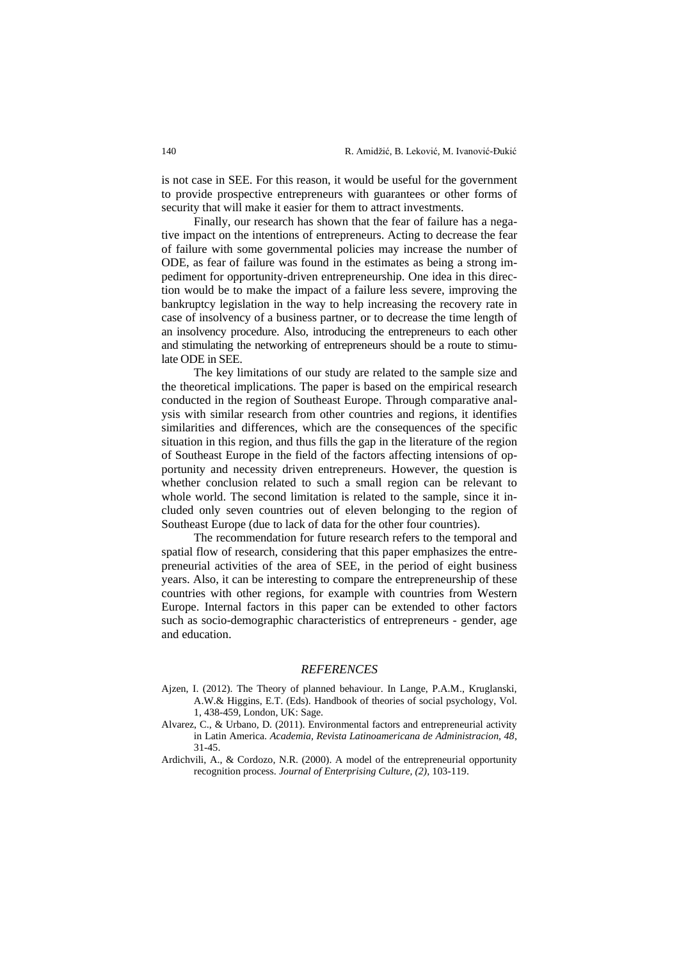is not case in SEE. For this reason, it would be useful for the government to provide prospective entrepreneurs with guarantees or other forms of security that will make it easier for them to attract investments.

Finally, our research has shown that the fear of failure has a negative impact on the intentions of entrepreneurs. Acting to decrease the fear of failure with some governmental policies may increase the number of ODE, as fear of failure was found in the estimates as being a strong impediment for opportunity-driven entrepreneurship. One idea in this direction would be to make the impact of a failure less severe, improving the bankruptcy legislation in the way to help increasing the recovery rate in case of insolvency of a business partner, or to decrease the time length of an insolvency procedure. Also, introducing the entrepreneurs to each other and stimulating the networking of entrepreneurs should be a route to stimulate ODE in SEE.

The key limitations of our study are related to the sample size and the theoretical implications. The paper is based on the empirical research conducted in the region of Southeast Europe. Through comparative analysis with similar research from other countries and regions, it identifies similarities and differences, which are the consequences of the specific situation in this region, and thus fills the gap in the literature of the region of Southeast Europe in the field of the factors affecting intensions of opportunity and necessity driven entrepreneurs. However, the question is whether conclusion related to such a small region can be relevant to whole world. The second limitation is related to the sample, since it included only seven countries out of eleven belonging to the region of Southeast Europe (due to lack of data for the other four countries).

The recommendation for future research refers to the temporal and spatial flow of research, considering that this paper emphasizes the entrepreneurial activities of the area of SEE, in the period of eight business years. Also, it can be interesting to compare the entrepreneurship of these countries with other regions, for example with countries from Western Europe. Internal factors in this paper can be extended to other factors such as socio-demographic characteristics of entrepreneurs - gender, age and education.

### *REFERENCES*

- Ajzen, I. (2012). The Theory of planned behaviour. In Lange, P.A.M., Kruglanski, A.W.& Higgins, E.T. (Eds). Handbook of theories of social psychology, Vol. 1, 438-459, London, UK: Sage.
- Alvarez, C., & Urbano, D. (2011). Environmental factors and entrepreneurial activity in Latin America. *Academia, Revista Latinoamericana de Administracion, 48*, 31-45.
- Ardichvili, A., & Cordozo, N.R. (2000). A model of the entrepreneurial opportunity recognition process. *Journal of Enterprising Culture, (2),* 103-119.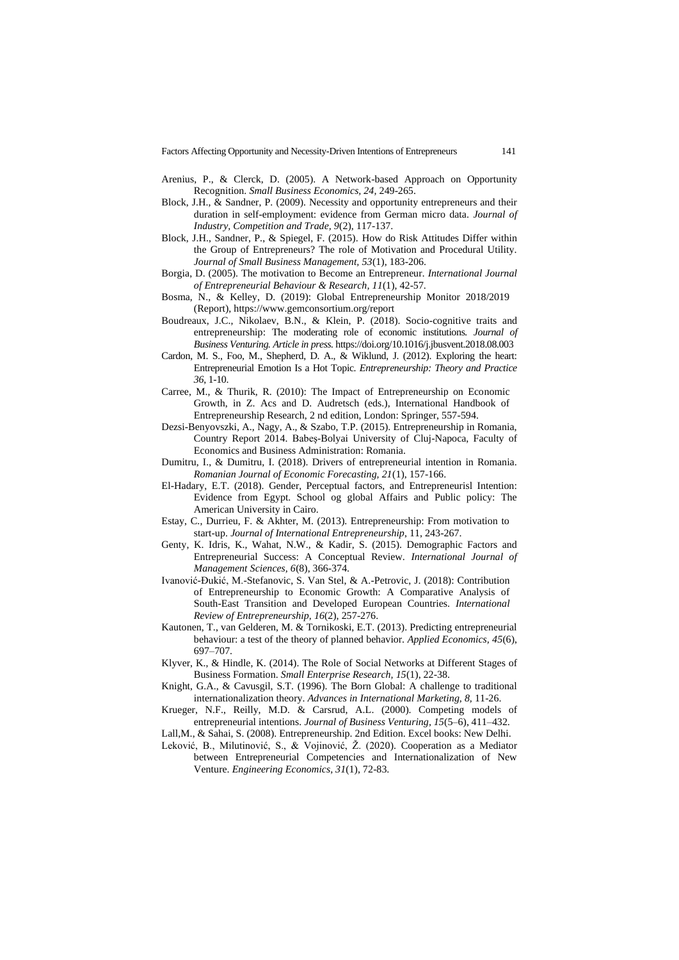Factors Affecting Opportunity and Necessity-Driven Intentions of Entrepreneurs 141

- Arenius, P., & Clerck, D. (2005). A Network-based Approach on Opportunity Recognition. *Small Business Economics, 24,* 249-265.
- Block, J.H., & Sandner, P. (2009). Necessity and opportunity entrepreneurs and their duration in self-employment: evidence from German micro data. *Journal of Industry, Competition and Trade, 9*(2), 117-137.
- Block, J.H., Sandner, P., & Spiegel, F. (2015). How do Risk Attitudes Differ within the Group of Entrepreneurs? The role of Motivation and Procedural Utility. *Journal of Small Business Management, 53*(1), 183-206.
- Borgia, D. (2005). The motivation to Become an Entrepreneur*. International Journal of Entrepreneurial Behaviour & Research, 11*(1), 42-57.
- Bosma, N., & Kelley, D. (2019): Global Entrepreneurship Monitor 2018/2019 (Report),<https://www.gemconsortium.org/report>
- Boudreaux, J.C., Nikolaev, B.N., & Klein, P. (2018). Socio-cognitive traits and entrepreneurship: The moderating role of economic institutions*. Journal of Business Venturing. Article in press.* <https://doi.org/10.1016/j.jbusvent.2018.08.003>
- Cardon, M. S., Foo, M., Shepherd, D. A., & Wiklund, J. (2012). Exploring the heart: Entrepreneurial Emotion Is a Hot Topic. *Entrepreneurship: Theory and Practice 36*, 1-10.
- Carree, M., & Thurik, R. (2010): The Impact of Entrepreneurship on Economic Growth, in Z. Acs and D. Audretsch (eds.), International Handbook of Entrepreneurship Research, 2 nd edition, London: Springer, 557-594.
- Dezsi-Benyovszki, A., Nagy, A., & Szabo, T.P. (2015). Entrepreneurship in Romania, Country Report 2014. Babeş-Bolyai University of Cluj-Napoca, Faculty of Economics and Business Administration: Romania.
- Dumitru, I., & Dumitru, I. (2018). Drivers of entrepreneurial intention in Romania. *Romanian Journal of Economic Forecasting, 21*(1), 157-166.
- El-Hadary, E.T. (2018). Gender, Perceptual factors, and Entrepreneurisl Intention: Evidence from Egypt. School og global Affairs and Public policy: The American University in Cairo.
- Estay, C., Durrieu, F. & Akhter, M. (2013). Entrepreneurship: From motivation to start-up. *Journal of International Entrepreneurship*, 11, 243-267.
- Genty, K. Idris, K., Wahat, N.W., & Kadir, S. (2015). Demographic Factors and Entrepreneurial Success: A Conceptual Review. *International Journal of Management Sciences, 6*(8), 366-374.
- Ivanović-Đukić, M.-Stefanovic, S. Van Stel, & A.-Petrovic, J. (2018): Contribution of Entrepreneurship to Economic Growth: A Comparative Analysis of South-East Transition and Developed European Countries. *International Review of Entrepreneurship, 16*(2), 257-276.
- Kautonen, T., van Gelderen, M. & Tornikoski, E.T. (2013). Predicting entrepreneurial behaviour: a test of the theory of planned behavior. *Applied Economics, 45*(6), 697–707.
- Klyver, K., & Hindle, K. (2014). The Role of Social Networks at Different Stages of Business Formation. *Small Enterprise Research, 15*(1), 22-38.
- Knight, G.A., & Cavusgil, S.T. (1996). The Born Global: A challenge to traditional internationalization theory. *Advances in International Marketing, 8,* 11-26.
- Krueger, N.F., Reilly, M.D. & Carsrud, A.L. (2000). Competing models of entrepreneurial intentions. *Journal of Business Venturing, 15*(5–6), 411–432.

Lall,M., & Sahai, S. (2008). Entrepreneurship. 2nd Edition. Excel books: New Delhi.

Leković, B., Milutinović, S., & Vojinović, Ž. (2020). Cooperation as a Mediator between Entrepreneurial Competencies and Internationalization of New Venture. *Engineering Economics, 31*(1), 72-83.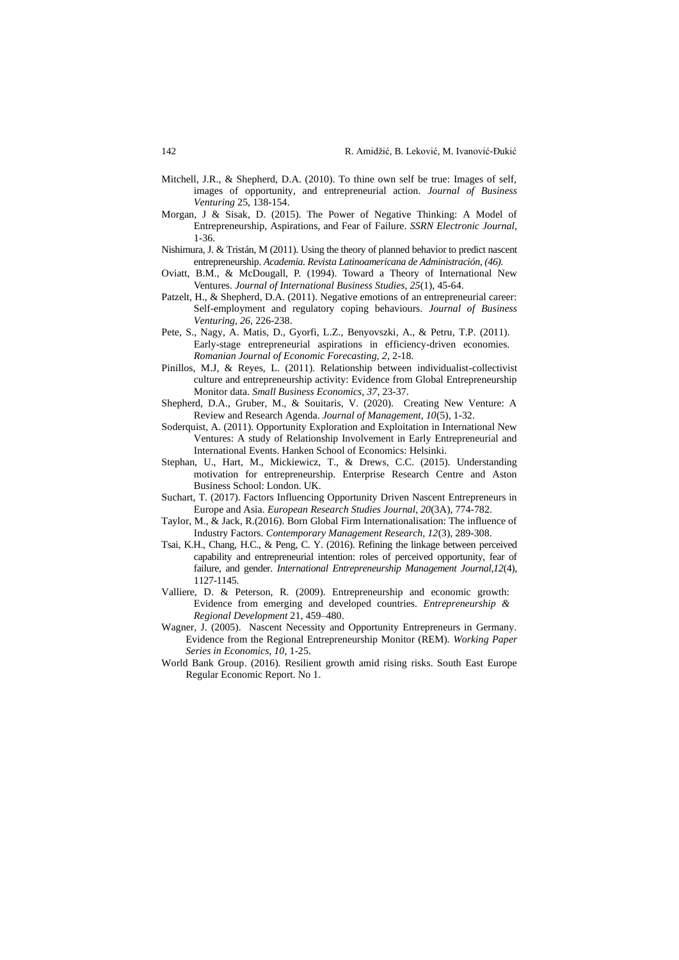- Mitchell, J.R., & Shepherd, D.A. (2010). To thine own self be true: Images of self, images of opportunity, and entrepreneurial action. *Journal of Business Venturing* 25, 138-154.
- Morgan, J & Sisak, D. (2015). The Power of Negative Thinking: A Model of Entrepreneurship, Aspirations, and Fear of Failure*. SSRN Electronic Journal,*  1-36.
- Nishimura, J. & Tristán, M (2011). Using the theory of planned behavior to predict nascent entrepreneurship. *Academia. Revista Latinoamericana de Administración, (46).*
- Oviatt, B.M., & McDougall, P. (1994). Toward a Theory of International New Ventures. *Journal of International Business Studies, 25*(1), 45-64.
- Patzelt, H., & Shepherd, D.A. (2011). Negative emotions of an entrepreneurial career: Self-employment and regulatory coping behaviours. *Journal of Business Venturing, 26,* 226-238.
- Pete, S., Nagy, A. Matis, D., Gyorfi, L.Z., Benyovszki, A., & Petru, T.P. (2011). Early-stage entrepreneurial aspirations in efficiency-driven economies. *Romanian Journal of Economic Forecasting, 2*, 2-18.
- Pinillos, M.J, & Reyes, L. (2011). Relationship between individualist-collectivist culture and entrepreneurship activity: Evidence from Global Entrepreneurship Monitor data. *Small Business Economics, 37,* 23-37.
- Shepherd, D.A., Gruber, M., & Souitaris, V. (2020). Creating New Venture: A Review and Research Agenda. *Journal of Management, 10*(5), 1-32.
- Soderquist, A. (2011). Opportunity Exploration and Exploitation in International New Ventures: A study of Relationship Involvement in Early Entrepreneurial and International Events. Hanken School of Economics: Helsinki.
- Stephan, U., Hart, M., Mickiewicz, T., & Drews, C.C. (2015). Understanding motivation for entrepreneurship. Enterprise Research Centre and Aston Business School: London. UK.
- Suchart, T. (2017). Factors Influencing Opportunity Driven Nascent Entrepreneurs in Europe and Asia. *European Research Studies Journal, 20*(3A), 774-782.
- Taylor, M., & Jack, R.(2016). Born Global Firm Internationalisation: The influence of Industry Factors. *Contemporary Management Research, 12*(3), 289-308.
- Tsai, K.H., Chang, H.C., & Peng, C. Y. (2016). Refining the linkage between perceived capability and entrepreneurial intention: roles of perceived opportunity, fear of failure, and gender. *International Entrepreneurship Management Journal,12*(4), 1127-1145.
- Valliere, D. & Peterson, R. (2009). Entrepreneurship and economic growth: Evidence from emerging and developed countries. *Entrepreneurship & Regional Development* 21, 459–480.
- Wagner, J. (2005). Nascent Necessity and Opportunity Entrepreneurs in Germany. Evidence from the Regional Entrepreneurship Monitor (REM). *Working Paper Series in Economics, 10,* 1-25.
- World Bank Group. (2016). Resilient growth amid rising risks. South East Europe Regular Economic Report. No 1.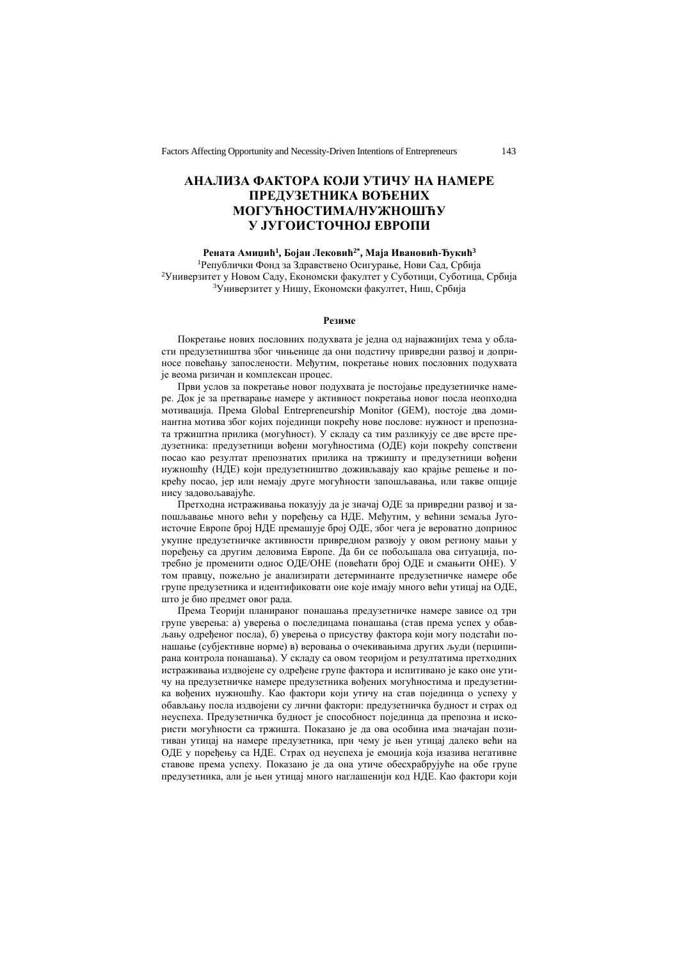# **АНАЛИЗА ФАКТОРА КОЈИ УТИЧУ НА НАМЕРЕ ПРЕДУЗЕТНИКА ВОЂЕНИХ МОГУЋНОСТИМА/НУЖНОШЋУ У ЈУГОИСТОЧНОЈ ЕВРОПИ**

#### **Рената Амиџић<sup>1</sup> , Бојан Лековић2\* , Маја Ивановић-Ђукић<sup>3</sup>**

<sup>1</sup>Републички Фонд за Здравствено Осигурање, Нови Сад, Србија <sup>2</sup>Универзитет у Новом Саду, Економски факултет у Суботици, Суботица, Србија <sup>3</sup>Универзитет у Нишу, Економски факултет, Ниш, Србија

#### **Резиме**

Покретање нових пословних подухвата је једна од најважнијих тема у области предузетништва због чињенице да они подстичу привредни развој и доприносе повећању запослености. Међутим, покретање нових пословних подухвата је веома ризичан и комплексан процес.

Први услов за покретање новог подухвата је постојање предузетничке намере. Док је за претварање намере у активност покретања новог посла неопходна мотивација. Према Global Entrepreneurship Monitor (GEM), постоје два доминантна мотива због којих појединци покрећу нове послове: нужност и препозната тржиштна прилика (могућност). У складу са тим разликују се две врсте предузетника: предузетници вођени могућностима (ОДЕ) који покрећу сопствени посао као резултат препознатих прилика на тржишту и предузетници вођени нужношћу (НДЕ) који предузетништво доживљавају као крајње решење и покрећу посао, јер или немају друге могућности запошљавања, или такве опције нису задовољавајуће.

Претходна истраживања показују да је значај ОДЕ за привредни развој и запошљавање много већи у поређењу са НДЕ. Међутим, у већини земаља Југоисточне Европе број НДЕ премашује број ОДЕ, због чега је вероватно допринос укупне предузетничке активности привредном развоју у овом региону мањи у поређењу са другим деловима Европе. Да би се побољшала ова ситуација, потребно је променити однос ОДЕ/ОНЕ (повећати број ОДЕ и смањити ОНЕ). У том правцу, пожељно је анализирати детерминанте предузетничке намере обе групе предузетника и идентификовати оне које имају много већи утицај на ОДЕ, што је био предмет овог рада.

Према Теорији планираног понашања предузетничке намере зависе од три групе уверења: а) уверења о последицама понашања (став према успех у обављању одређеног посла), б) уверења о присуству фактора који могу подстаћи понашање (субјективне норме) в) веровања о очекивањима других људи (перципирана контрола понашања). У складу са овом теоријом и резултатима претходних истраживања издвојене су одређене групе фактора и испитивано је како оне утичу на предузетничке намере предузетника вођених могућностима и предузетника вођених нужношћу. Као фактори који утичу на став појединца о успеху у обављању посла издвојени су лични фактори: предузетничка будност и страх од неуспеха. Предузетничка будност је способност појединца да препозна и искористи могућности са тржишта. Показано је да ова особина има значајан позитиван утицај на намере предузетника, при чему је њен утицај далеко већи на ОДЕ у поређењу са НДЕ. Страх од неуспеха је емоција која изазива негативне ставове према успеху. Показано је да она утиче обесхрабрујуће на обе групе предузетника, али је њен утицај много наглашенији код НДЕ. Као фактори који